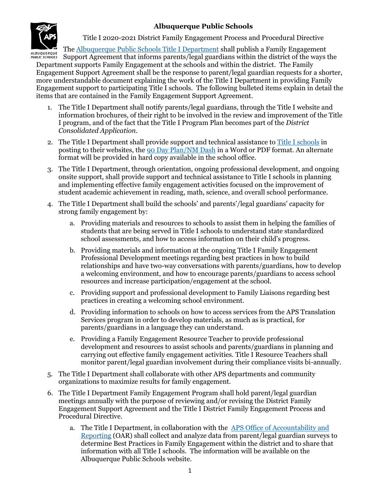# **Albuquerque Public Schools**



Title I 2020-2021 District Family Engagement Process and Procedural Directive

The [Albuquerque Public Schools Title I Department](http://www.aps.edu/title-i) shall publish a Family Engagement

Support Agreement that informs parents/legal guardians within the district of the ways the Department supports Family Engagement at the schools and within the district. The Family Engagement Support Agreement shall be the response to parent/legal guardian requests for a shorter, more understandable document explaining the work of the Title I Department in providing Family Engagement support to participating Title I schools. The following bulleted items explain in detail the items that are contained in the Family Engagement Support Agreement.

- 1. The Title I Department shall notify parents/legal guardians, through the Title I website and information brochures, of their right to be involved in the review and improvement of the Title I program, and of the fact that the Title I Program Plan becomes part of the *District Consolidated Application*.
- 2. The Title I Department shall provide support and technical assistance t[o Title I schools](http://www.aps.edu/title-i/public-school-support) in posting to their websites, th[e 90 Day Plan/NM Dash](http://ped.state.nm.us/ped/PrioritySchools_NMDASH.html) in a Word or PDF format. An alternate format will be provided in hard copy available in the school office.
- 3. The Title I Department, through orientation, ongoing professional development, and ongoing onsite support, shall provide support and technical assistance to Title I schools in planning and implementing effective family engagement activities focused on the improvement of student academic achievement in reading, math, science, and overall school performance.
- 4. The Title I Department shall build the schools' and parents'/legal guardians' capacity for strong family engagement by:
	- a. Providing materials and resources to schools to assist them in helping the families of students that are being served in Title I schools to understand state standardized school assessments, and how to access information on their child's progress.
	- b. Providing materials and information at the ongoing Title I Family Engagement Professional Development meetings regarding best practices in how to build relationships and have two-way conversations with parents/guardians, how to develop a welcoming environment, and how to encourage parents/guardians to access school resources and increase participation/engagement at the school.
	- c. Providing support and professional development to Family Liaisons regarding best practices in creating a welcoming school environment.
	- d. Providing information to schools on how to access services from the APS Translation Services program in order to develop materials, as much as is practical, for parents/guardians in a language they can understand.
	- e. Providing a Family Engagement Resource Teacher to provide professional development and resources to assist schools and parents/guardians in planning and carrying out effective family engagement activities. Title I Resource Teachers shall monitor parent/legal guardian involvement during their compliance visits bi-annually.
- 5. The Title I Department shall collaborate with other APS departments and community organizations to maximize results for family engagement.
- 6. The Title I Department Family Engagement Program shall hold parent/legal guardian meetings annually with the purpose of reviewing and/or revising the District Family Engagement Support Agreement and the Title I District Family Engagement Process and Procedural Directive.
	- a. The Title I Department, in collaboration with the [APS Office of Accountability and](https://www.aps.edu/accountability-reporting)  [Reporting](https://www.aps.edu/accountability-reporting) (OAR) shall collect and analyze data from parent/legal guardian surveys to determine Best Practices in Family Engagement within the district and to share that information with all Title I schools. The information will be available on the Albuquerque Public Schools website.